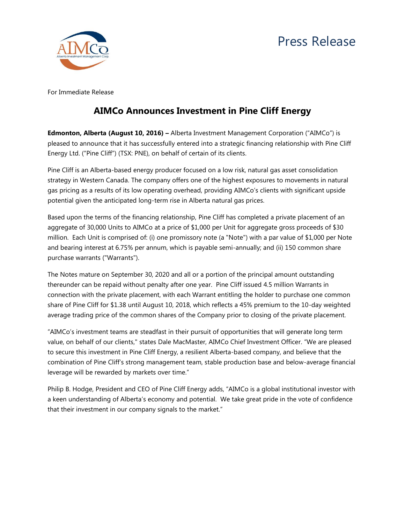## Press Release



For Immediate Release

## **AIMCo Announces Investment in Pine Cliff Energy**

**Edmonton, Alberta (August 10, 2016) –** Alberta Investment Management Corporation ("AIMCo") is pleased to announce that it has successfully entered into a strategic financing relationship with Pine Cliff Energy Ltd. ("Pine Cliff") (TSX: PNE), on behalf of certain of its clients.

Pine Cliff is an Alberta-based energy producer focused on a low risk, natural gas asset consolidation strategy in Western Canada. The company offers one of the highest exposures to movements in natural gas pricing as a results of its low operating overhead, providing AIMCo's clients with significant upside potential given the anticipated long-term rise in Alberta natural gas prices.

Based upon the terms of the financing relationship, Pine Cliff has completed a private placement of an aggregate of 30,000 Units to AIMCo at a price of \$1,000 per Unit for aggregate gross proceeds of \$30 million. Each Unit is comprised of: (i) one promissory note (a "Note") with a par value of \$1,000 per Note and bearing interest at 6.75% per annum, which is payable semi-annually; and (ii) 150 common share purchase warrants ("Warrants").

The Notes mature on September 30, 2020 and all or a portion of the principal amount outstanding thereunder can be repaid without penalty after one year. Pine Cliff issued 4.5 million Warrants in connection with the private placement, with each Warrant entitling the holder to purchase one common share of Pine Cliff for \$1.38 until August 10, 2018, which reflects a 45% premium to the 10-day weighted average trading price of the common shares of the Company prior to closing of the private placement.

"AIMCo's investment teams are steadfast in their pursuit of opportunities that will generate long term value, on behalf of our clients," states Dale MacMaster, AIMCo Chief Investment Officer. "We are pleased to secure this investment in Pine Cliff Energy, a resilient Alberta-based company, and believe that the combination of Pine Cliff's strong management team, stable production base and below-average financial leverage will be rewarded by markets over time."

Philip B. Hodge, President and CEO of Pine Cliff Energy adds, "AIMCo is a global institutional investor with a keen understanding of Alberta's economy and potential. We take great pride in the vote of confidence that their investment in our company signals to the market."